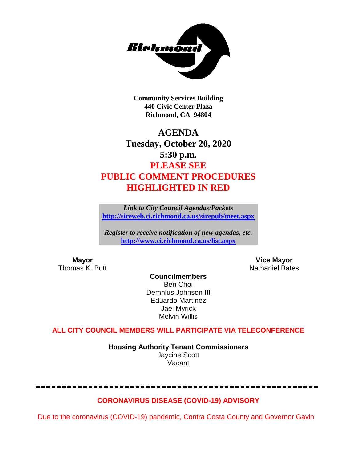

**Community Services Building 440 Civic Center Plaza Richmond, CA 94804**

# **AGENDA Tuesday, October 20, 2020 5:30 p.m. PLEASE SEE PUBLIC COMMENT PROCEDURES HIGHLIGHTED IN RED**

*Link to City Council Agendas/Packets* **<http://sireweb.ci.richmond.ca.us/sirepub/meet.aspx>**

*Register to receive notification of new agendas, etc.* **<http://www.ci.richmond.ca.us/list.aspx>**

**Mayor Mayor Wice Mayor Vice Mayor Vice Mayor Vice Mayor Vice Mayor Vice Mayor Vice Mayor Vice Mayor Vice Mayor Vice Mayor Vice Mayor Vice Mayor Vice Mayor Vice Mayor Vice Mayor Vice Mayor** Nathaniel Bates

**Councilmembers** Ben Choi Demnlus Johnson III Eduardo Martinez Jael Myrick Melvin Willis

# **ALL CITY COUNCIL MEMBERS WILL PARTICIPATE VIA TELECONFERENCE**

**Housing Authority Tenant Commissioners** Jaycine Scott Vacant

# **CORONAVIRUS DISEASE (COVID-19) ADVISORY**

Due to the coronavirus (COVID-19) pandemic, Contra Costa County and Governor Gavin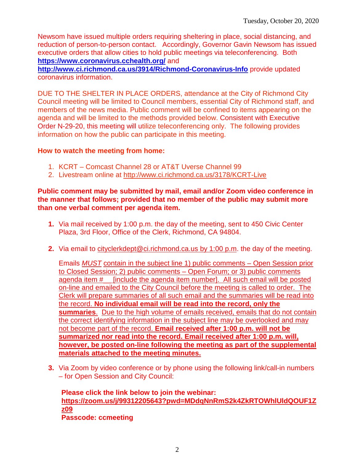Newsom have issued multiple orders requiring sheltering in place, social distancing, and reduction of person-to-person contact. Accordingly, Governor Gavin Newsom has issued executive orders that allow cities to hold public meetings via teleconferencing. Both **<https://www.coronavirus.cchealth.org/>** and

**<http://www.ci.richmond.ca.us/3914/Richmond-Coronavirus-Info>** provide updated coronavirus information.

DUE TO THE SHELTER IN PLACE ORDERS, attendance at the City of Richmond City Council meeting will be limited to Council members, essential City of Richmond staff, and members of the news media. Public comment will be confined to items appearing on the agenda and will be limited to the methods provided below. Consistent with Executive Order N-29-20, this meeting will utilize teleconferencing only. The following provides information on how the public can participate in this meeting.

### **How to watch the meeting from home:**

- 1. KCRT Comcast Channel 28 or AT&T Uverse Channel 99
- 2. Livestream online at<http://www.ci.richmond.ca.us/3178/KCRT-Live>

#### **Public comment may be submitted by mail, email and/or Zoom video conference in the manner that follows; provided that no member of the public may submit more than one verbal comment per agenda item.**

- **1.** Via mail received by 1:00 p.m. the day of the meeting, sent to 450 Civic Center Plaza, 3rd Floor, Office of the Clerk, Richmond, CA 94804.
- **2.** Via email to [cityclerkdept@ci.richmond.ca.us](mailto:cityclerkdept@ci.richmond.ca.us) by 1:00 p.m. the day of the meeting.

Emails *MUST* contain in the subject line 1) public comments – Open Session prior to Closed Session; 2) public comments – Open Forum; or 3) public comments agenda item #\_\_ [include the agenda item number]. All such email will be posted on-line and emailed to the City Council before the meeting is called to order. The Clerk will prepare summaries of all such email and the summaries will be read into the record. **No individual email will be read into the record, only the summaries**. Due to the high volume of emails received, emails that do not contain the correct identifying information in the subject line may be overlooked and may not become part of the record. **Email received after 1:00 p.m. will not be summarized nor read into the record. Email received after 1:00 p.m. will, however, be posted on-line following the meeting as part of the supplemental materials attached to the meeting minutes.**

**3.** Via Zoom by video conference or by phone using the following link/call-in numbers – for Open Session and City Council:

**Please click the link below to join the webinar: [https://zoom.us/j/99312205643?pwd=MDdqNnRmS2k4ZkRTOWhlUldQOUF1Z](https://zoom.us/j/99312205643?pwd=MDdqNnRmS2k4ZkRTOWhlUldQOUF1Zz09) [z09](https://zoom.us/j/99312205643?pwd=MDdqNnRmS2k4ZkRTOWhlUldQOUF1Zz09) Passcode: ccmeeting**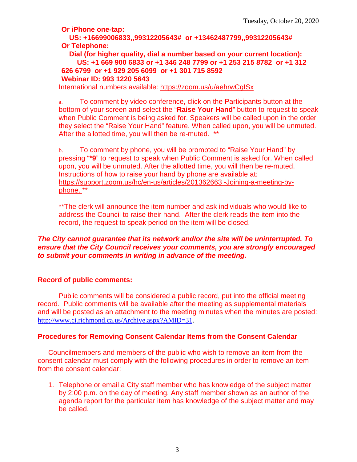**Or iPhone one-tap:**

**US: +16699006833,,99312205643# or +13462487799,,99312205643# Or Telephone:**

**Dial (for higher quality, dial a number based on your current location): US: +1 669 900 6833 or +1 346 248 7799 or +1 253 215 8782 or +1 312 626 6799 or +1 929 205 6099 or +1 301 715 8592 Webinar ID: 993 1220 5643**

International numbers available:<https://zoom.us/u/aehrwCgISx>

a. To comment by video conference, click on the Participants button at the bottom of your screen and select the "**Raise Your Hand**" button to request to speak when Public Comment is being asked for. Speakers will be called upon in the order they select the "Raise Your Hand" feature. When called upon, you will be unmuted. After the allotted time, you will then be re-muted. \*\*

b. To comment by phone, you will be prompted to "Raise Your Hand" by pressing "**\*9**" to request to speak when Public Comment is asked for. When called upon, you will be unmuted. After the allotted time, you will then be re-muted. Instructions of how to raise your hand by phone are available at: [https://support.zoom.us/hc/en-us/articles/201362663 -Joining-a-meeting-by](https://support.zoom.us/hc/en-us/articles/201362663)[phone.](https://support.zoom.us/hc/en-us/articles/201362663) \*\*

\*\*The clerk will announce the item number and ask individuals who would like to address the Council to raise their hand. After the clerk reads the item into the record, the request to speak period on the item will be closed.

#### *The City cannot guarantee that its network and/or the site will be uninterrupted. To ensure that the City Council receives your comments, you are strongly encouraged to submit your comments in writing in advance of the meeting.*

#### **Record of public comments:**

Public comments will be considered a public record, put into the official meeting record. Public comments will be available after the meeting as supplemental materials and will be posted as an attachment to the meeting minutes when the minutes are posted: [http://www.ci.richmond.ca.us/Archive.aspx?AMID=31.](http://www.ci.richmond.ca.us/Archive.aspx?AMID=31)

#### **Procedures for Removing Consent Calendar Items from the Consent Calendar**

Councilmembers and members of the public who wish to remove an item from the consent calendar must comply with the following procedures in order to remove an item from the consent calendar:

1. Telephone or email a City staff member who has knowledge of the subject matter by 2:00 p.m. on the day of meeting. Any staff member shown as an author of the agenda report for the particular item has knowledge of the subject matter and may be called.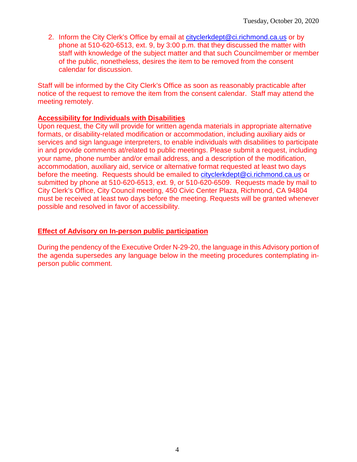2. Inform the City Clerk's Office by email at [cityclerkdept@ci.richmond.ca.us](mailto:cityclerkdept@ci.richmond.ca.us) or by phone at 510-620-6513, ext. 9, by 3:00 p.m. that they discussed the matter with staff with knowledge of the subject matter and that such Councilmember or member of the public, nonetheless, desires the item to be removed from the consent calendar for discussion.

Staff will be informed by the City Clerk's Office as soon as reasonably practicable after notice of the request to remove the item from the consent calendar. Staff may attend the meeting remotely.

### **Accessibility for Individuals with Disabilities**

Upon request, the City will provide for written agenda materials in appropriate alternative formats, or disability-related modification or accommodation, including auxiliary aids or services and sign language interpreters, to enable individuals with disabilities to participate in and provide comments at/related to public meetings. Please submit a request, including your name, phone number and/or email address, and a description of the modification, accommodation, auxiliary aid, service or alternative format requested at least two days before the meeting. Requests should be emailed to [cityclerkdept@ci.richmond.ca.us](mailto:cityclerkdept@ci.richmond.ca.us) or submitted by phone at 510-620-6513, ext. 9, or 510-620-6509. Requests made by mail to City Clerk's Office, City Council meeting, 450 Civic Center Plaza, Richmond, CA 94804 must be received at least two days before the meeting. Requests will be granted whenever possible and resolved in favor of accessibility.

#### **Effect of Advisory on In-person public participation**

During the pendency of the Executive Order N-29-20, the language in this Advisory portion of the agenda supersedes any language below in the meeting procedures contemplating inperson public comment.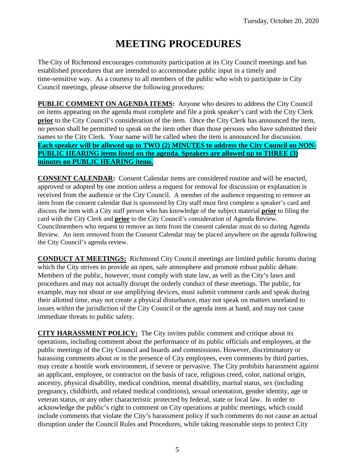# **MEETING PROCEDURES**

The City of Richmond encourages community participation at its City Council meetings and has established procedures that are intended to accommodate public input in a timely and time-sensitive way. As a courtesy to all members of the public who wish to participate in City Council meetings, please observe the following procedures:

**PUBLIC COMMENT ON AGENDA ITEMS:** Anyone who desires to address the City Council on items appearing on the agenda must complete and file a pink speaker's card with the City Clerk **prior** to the City Council's consideration of the item. Once the City Clerk has announced the item, no person shall be permitted to speak on the item other than those persons who have submitted their names to the City Clerk. Your name will be called when the item is announced for discussion. **Each speaker will be allowed up to TWO (2) MINUTES to address the City Council on NON-PUBLIC HEARING items listed on the agenda. Speakers are allowed up to THREE (3) minutes on PUBLIC HEARING items.**

**CONSENT CALENDAR:** Consent Calendar items are considered routine and will be enacted, approved or adopted by one motion unless a request for removal for discussion or explanation is received from the audience or the City Council. A member of the audience requesting to remove an item from the consent calendar that is sponsored by City staff must first complete a speaker's card and discuss the item with a City staff person who has knowledge of the subject material **prior** to filing the card with the City Clerk and **prior** to the City Council's consideration of Agenda Review. Councilmembers who request to remove an item from the consent calendar must do so during Agenda Review. An item removed from the Consent Calendar may be placed anywhere on the agenda following the City Council's agenda review.

**CONDUCT AT MEETINGS:** Richmond City Council meetings are limited public forums during which the City strives to provide an open, safe atmosphere and promote robust public debate. Members of the public, however, must comply with state law, as well as the City's laws and procedures and may not actually disrupt the orderly conduct of these meetings. The public, for example, may not shout or use amplifying devices, must submit comment cards and speak during their allotted time, may not create a physical disturbance, may not speak on matters unrelated to issues within the jurisdiction of the City Council or the agenda item at hand, and may not cause immediate threats to public safety.

**CITY HARASSMENT POLICY:** The City invites public comment and critique about its operations, including comment about the performance of its public officials and employees, at the public meetings of the City Council and boards and commissions. However, discriminatory or harassing comments about or in the presence of City employees, even comments by third parties, may create a hostile work environment, if severe or pervasive. The City prohibits harassment against an applicant, employee, or contractor on the basis of race, religious creed, color, national origin, ancestry, physical disability, medical condition, mental disability, marital status, sex (including pregnancy, childbirth, and related medical conditions), sexual orientation, gender identity, age or veteran status, or any other characteristic protected by federal, state or local law. In order to acknowledge the public's right to comment on City operations at public meetings, which could include comments that violate the City's harassment policy if such comments do not cause an actual disruption under the Council Rules and Procedures, while taking reasonable steps to protect City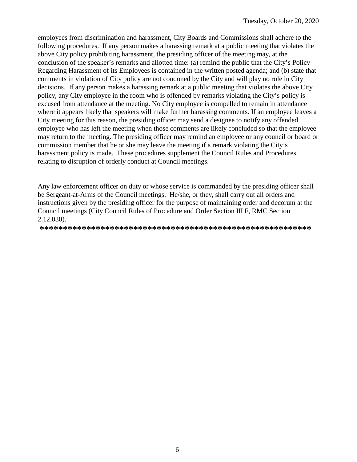employees from discrimination and harassment, City Boards and Commissions shall adhere to the following procedures. If any person makes a harassing remark at a public meeting that violates the above City policy prohibiting harassment, the presiding officer of the meeting may, at the conclusion of the speaker's remarks and allotted time: (a) remind the public that the City's Policy Regarding Harassment of its Employees is contained in the written posted agenda; and (b) state that comments in violation of City policy are not condoned by the City and will play no role in City decisions. If any person makes a harassing remark at a public meeting that violates the above City policy, any City employee in the room who is offended by remarks violating the City's policy is excused from attendance at the meeting. No City employee is compelled to remain in attendance where it appears likely that speakers will make further harassing comments. If an employee leaves a City meeting for this reason, the presiding officer may send a designee to notify any offended employee who has left the meeting when those comments are likely concluded so that the employee may return to the meeting. The presiding officer may remind an employee or any council or board or commission member that he or she may leave the meeting if a remark violating the City's harassment policy is made. These procedures supplement the Council Rules and Procedures relating to disruption of orderly conduct at Council meetings.

Any law enforcement officer on duty or whose service is commanded by the presiding officer shall be Sergeant-at-Arms of the Council meetings. He/she, or they, shall carry out all orders and instructions given by the presiding officer for the purpose of maintaining order and decorum at the Council meetings (City Council Rules of Procedure and Order Section III F, RMC Section 2.12.030).

**\*\*\*\*\*\*\*\*\*\*\*\*\*\*\*\*\*\*\*\*\*\*\*\*\*\*\*\*\*\*\*\*\*\*\*\*\*\*\*\*\*\*\*\*\*\*\*\*\*\*\*\*\*\*\*\*\*\***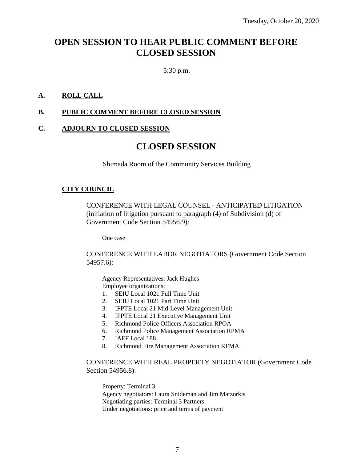# **OPEN SESSION TO HEAR PUBLIC COMMENT BEFORE CLOSED SESSION**

5:30 p.m.

### **A. ROLL CALL**

#### **B. PUBLIC COMMENT BEFORE CLOSED SESSION**

#### **C. ADJOURN TO CLOSED SESSION**

# **CLOSED SESSION**

Shimada Room of the Community Services Building

#### **CITY COUNCIL**

CONFERENCE WITH LEGAL COUNSEL - ANTICIPATED LITIGATION (initiation of litigation pursuant to paragraph (4) of Subdivision (d) of Government Code Section 54956.9):

One case

CONFERENCE WITH LABOR NEGOTIATORS (Government Code Section 54957.6):

Agency Representatives: Jack Hughes Employee organizations:

- 1. SEIU Local 1021 Full Time Unit
- 2. SEIU Local 1021 Part Time Unit
- 3. IFPTE Local 21 Mid-Level Management Unit
- 4. IFPTE Local 21 Executive Management Unit
- 5. Richmond Police Officers Association RPOA
- 6. Richmond Police Management Association RPMA
- 7. IAFF Local 188
- 8. Richmond Fire Management Association RFMA

CONFERENCE WITH REAL PROPERTY NEGOTIATOR (Government Code Section 54956.8):

Property: Terminal 3 Agency negotiators: Laura Snideman and Jim Matzorkis Negotiating parties: Terminal 3 Partners Under negotiations: price and terms of payment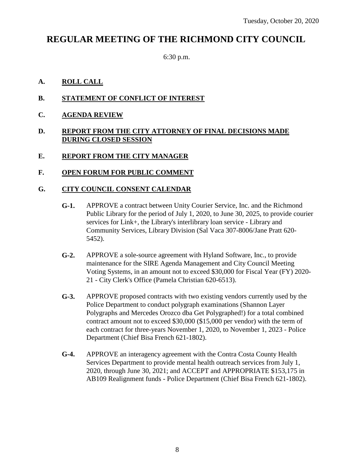# **REGULAR MEETING OF THE RICHMOND CITY COUNCIL**

6:30 p.m.

### **A. ROLL CALL**

- **B. STATEMENT OF CONFLICT OF INTEREST**
- **C. AGENDA REVIEW**

#### **D. REPORT FROM THE CITY ATTORNEY OF FINAL DECISIONS MADE DURING CLOSED SESSION**

**E. REPORT FROM THE CITY MANAGER**

#### **F. OPEN FORUM FOR PUBLIC COMMENT**

#### **G. CITY COUNCIL CONSENT CALENDAR**

- **G-1.** APPROVE a contract between Unity Courier Service, Inc. and the Richmond Public Library for the period of July 1, 2020, to June 30, 2025, to provide courier services for Link+, the Library's interlibrary loan service - Library and Community Services, Library Division (Sal Vaca 307-8006/Jane Pratt 620- 5452).
- **G-2.** APPROVE a sole-source agreement with Hyland Software, Inc., to provide maintenance for the SIRE Agenda Management and City Council Meeting Voting Systems, in an amount not to exceed \$30,000 for Fiscal Year (FY) 2020- 21 - City Clerk's Office (Pamela Christian 620-6513).
- **G-3.** APPROVE proposed contracts with two existing vendors currently used by the Police Department to conduct polygraph examinations (Shannon Layer Polygraphs and Mercedes Orozco dba Get Polygraphed!) for a total combined contract amount not to exceed \$30,000 (\$15,000 per vendor) with the term of each contract for three-years November 1, 2020, to November 1, 2023 - Police Department (Chief Bisa French 621-1802).
- **G-4.** APPROVE an interagency agreement with the Contra Costa County Health Services Department to provide mental health outreach services from July 1, 2020, through June 30, 2021; and ACCEPT and APPROPRIATE \$153,175 in AB109 Realignment funds - Police Department (Chief Bisa French 621-1802).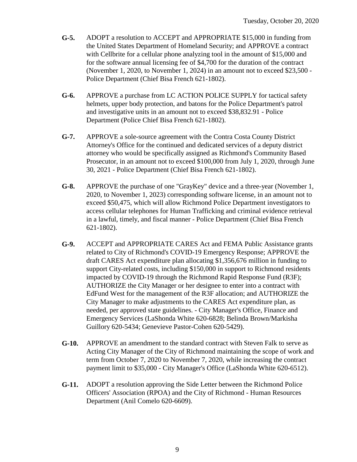- **G-5.** ADOPT a resolution to ACCEPT and APPROPRIATE \$15,000 in funding from the United States Department of Homeland Security; and APPROVE a contract with Cellbrite for a cellular phone analyzing tool in the amount of \$15,000 and for the software annual licensing fee of \$4,700 for the duration of the contract (November 1, 2020, to November 1, 2024) in an amount not to exceed \$23,500 - Police Department (Chief Bisa French 621-1802).
- **G-6.** APPROVE a purchase from LC ACTION POLICE SUPPLY for tactical safety helmets, upper body protection, and batons for the Police Department's patrol and investigative units in an amount not to exceed \$38,832.91 - Police Department (Police Chief Bisa French 621-1802).
- **G-7.** APPROVE a sole-source agreement with the Contra Costa County District Attorney's Office for the continued and dedicated services of a deputy district attorney who would be specifically assigned as Richmond's Community Based Prosecutor, in an amount not to exceed \$100,000 from July 1, 2020, through June 30, 2021 - Police Department (Chief Bisa French 621-1802).
- **G-8.** APPROVE the purchase of one "GrayKey" device and a three-year (November 1, 2020, to November 1, 2023) corresponding software license, in an amount not to exceed \$50,475, which will allow Richmond Police Department investigators to access cellular telephones for Human Trafficking and criminal evidence retrieval in a lawful, timely, and fiscal manner - Police Department (Chief Bisa French 621-1802).
- **G-9.** ACCEPT and APPROPRIATE CARES Act and FEMA Public Assistance grants related to City of Richmond's COVID-19 Emergency Response; APPROVE the draft CARES Act expenditure plan allocating \$1,356,676 million in funding to support City-related costs, including \$150,000 in support to Richmond residents impacted by COVID-19 through the Richmond Rapid Response Fund (R3F); AUTHORIZE the City Manager or her designee to enter into a contract with EdFund West for the management of the R3F allocation; and AUTHORIZE the City Manager to make adjustments to the CARES Act expenditure plan, as needed, per approved state guidelines. - City Manager's Office, Finance and Emergency Services (LaShonda White 620-6828; Belinda Brown/Markisha Guillory 620-5434; Genevieve Pastor-Cohen 620-5429).
- **G-10.** APPROVE an amendment to the standard contract with Steven Falk to serve as Acting City Manager of the City of Richmond maintaining the scope of work and term from October 7, 2020 to November 7, 2020, while increasing the contract payment limit to \$35,000 - City Manager's Office (LaShonda White 620-6512).
- **G-11.** ADOPT a resolution approving the Side Letter between the Richmond Police Officers' Association (RPOA) and the City of Richmond - Human Resources Department (Anil Comelo 620-6609).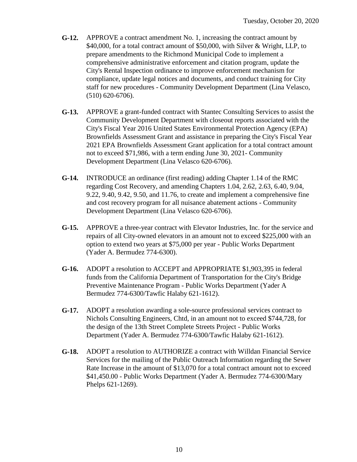- **G-12.** APPROVE a contract amendment No. 1, increasing the contract amount by \$40,000, for a total contract amount of \$50,000, with Silver & Wright, LLP, to prepare amendments to the Richmond Municipal Code to implement a comprehensive administrative enforcement and citation program, update the City's Rental Inspection ordinance to improve enforcement mechanism for compliance, update legal notices and documents, and conduct training for City staff for new procedures - Community Development Department (Lina Velasco, (510) 620-6706).
- **G-13.** APPROVE a grant-funded contract with Stantec Consulting Services to assist the Community Development Department with closeout reports associated with the City's Fiscal Year 2016 United States Environmental Protection Agency (EPA) Brownfields Assessment Grant and assistance in preparing the City's Fiscal Year 2021 EPA Brownfields Assessment Grant application for a total contract amount not to exceed \$71,986, with a term ending June 30, 2021- Community Development Department (Lina Velasco 620-6706).
- **G-14.** INTRODUCE an ordinance (first reading) adding Chapter 1.14 of the RMC regarding Cost Recovery, and amending Chapters 1.04, 2.62, 2.63, 6.40, 9.04, 9.22, 9.40, 9.42, 9.50, and 11.76, to create and implement a comprehensive fine and cost recovery program for all nuisance abatement actions - Community Development Department (Lina Velasco 620-6706).
- **G-15.** APPROVE a three-year contract with Elevator Industries, Inc. for the service and repairs of all City-owned elevators in an amount not to exceed \$225,000 with an option to extend two years at \$75,000 per year - Public Works Department (Yader A. Bermudez 774-6300).
- **G-16.** ADOPT a resolution to ACCEPT and APPROPRIATE \$1,903,395 in federal funds from the California Department of Transportation for the City's Bridge Preventive Maintenance Program - Public Works Department (Yader A Bermudez 774-6300/Tawfic Halaby 621-1612).
- **G-17.** ADOPT a resolution awarding a sole-source professional services contract to Nichols Consulting Engineers, Chtd, in an amount not to exceed \$744,728, for the design of the 13th Street Complete Streets Project - Public Works Department (Yader A. Bermudez 774-6300/Tawfic Halaby 621-1612).
- **G-18.** ADOPT a resolution to AUTHORIZE a contract with Willdan Financial Service Services for the mailing of the Public Outreach Information regarding the Sewer Rate Increase in the amount of \$13,070 for a total contract amount not to exceed \$41,450.00 - Public Works Department (Yader A. Bermudez 774-6300/Mary Phelps 621-1269).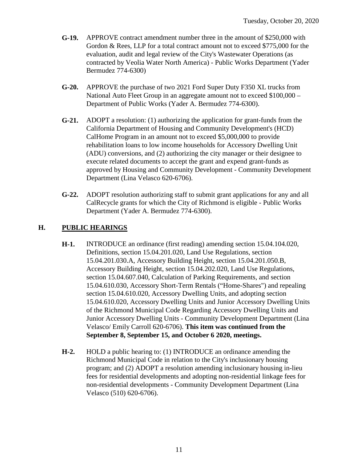- **G-19.** APPROVE contract amendment number three in the amount of \$250,000 with Gordon & Rees, LLP for a total contract amount not to exceed \$775,000 for the evaluation, audit and legal review of the City's Wastewater Operations (as contracted by Veolia Water North America) - Public Works Department (Yader Bermudez 774-6300)
- **G-20.** APPROVE the purchase of two 2021 Ford Super Duty F350 XL trucks from National Auto Fleet Group in an aggregate amount not to exceed \$100,000 – Department of Public Works (Yader A. Bermudez 774-6300).
- **G-21.** ADOPT a resolution: (1) authorizing the application for grant-funds from the California Department of Housing and Community Development's (HCD) CalHome Program in an amount not to exceed \$5,000,000 to provide rehabilitation loans to low income households for Accessory Dwelling Unit (ADU) conversions, and (2) authorizing the city manager or their designee to execute related documents to accept the grant and expend grant-funds as approved by Housing and Community Development - Community Development Department (Lina Velasco 620-6706).
- **G-22.** ADOPT resolution authorizing staff to submit grant applications for any and all CalRecycle grants for which the City of Richmond is eligible - Public Works Department (Yader A. Bermudez 774-6300).

# **H. PUBLIC HEARINGS**

- **H-1.** INTRODUCE an ordinance (first reading) amending section 15.04.104.020, Definitions, section 15.04.201.020, Land Use Regulations, section 15.04.201.030.A, Accessory Building Height, section 15.04.201.050.B, Accessory Building Height, section 15.04.202.020, Land Use Regulations, section 15.04.607.040, Calculation of Parking Requirements, and section 15.04.610.030, Accessory Short-Term Rentals ("Home-Shares") and repealing section 15.04.610.020, Accessory Dwelling Units, and adopting section 15.04.610.020, Accessory Dwelling Units and Junior Accessory Dwelling Units of the Richmond Municipal Code Regarding Accessory Dwelling Units and Junior Accessory Dwelling Units - Community Development Department (Lina Velasco/ Emily Carroll 620-6706). **This item was continued from the September 8, September 15, and October 6 2020, meetings.**
- **H-2.** HOLD a public hearing to: (1) INTRODUCE an ordinance amending the Richmond Municipal Code in relation to the City's inclusionary housing program; and (2) ADOPT a resolution amending inclusionary housing in-lieu fees for residential developments and adopting non-residential linkage fees for non-residential developments - Community Development Department (Lina Velasco (510) 620-6706).